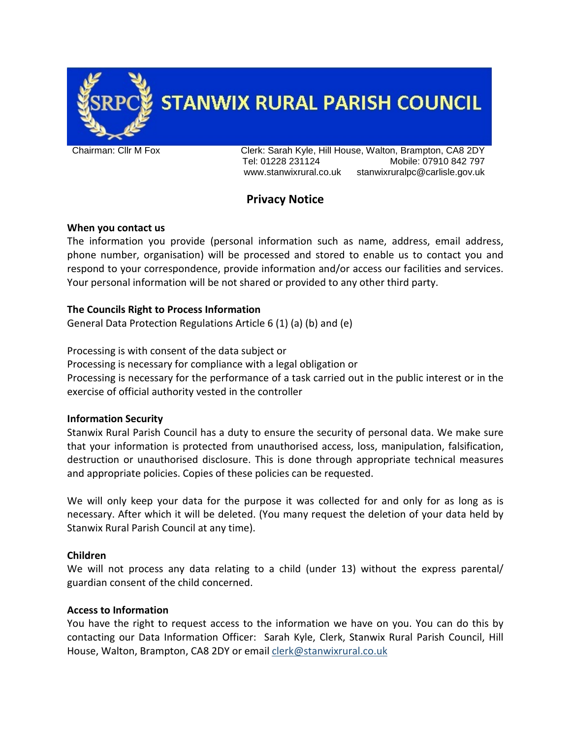

**STANWIX RURAL PARISH COUNCIL** 

Chairman: Cllr M Fox Clerk: Sarah Kyle, Hill House, Walton, Brampton, CA8 2DY Tel: 01228 231124 Mobile: 07910 842 797 www.stanwixrural.co.uk stanwixruralpc@carlisle.gov.uk

# **Privacy Notice**

## **When you contact us**

The information you provide (personal information such as name, address, email address, phone number, organisation) will be processed and stored to enable us to contact you and respond to your correspondence, provide information and/or access our facilities and services. Your personal information will be not shared or provided to any other third party.

## **The Councils Right to Process Information**

General Data Protection Regulations Article 6 (1) (a) (b) and (e)

Processing is with consent of the data subject or

Processing is necessary for compliance with a legal obligation or Processing is necessary for the performance of a task carried out in the public interest or in the exercise of official authority vested in the controller

## **Information Security**

Stanwix Rural Parish Council has a duty to ensure the security of personal data. We make sure that your information is protected from unauthorised access, loss, manipulation, falsification, destruction or unauthorised disclosure. This is done through appropriate technical measures and appropriate policies. Copies of these policies can be requested.

We will only keep your data for the purpose it was collected for and only for as long as is necessary. After which it will be deleted. (You many request the deletion of your data held by Stanwix Rural Parish Council at any time).

#### **Children**

We will not process any data relating to a child (under 13) without the express parental/ guardian consent of the child concerned.

## **Access to Information**

You have the right to request access to the information we have on you. You can do this by contacting our Data Information Officer: Sarah Kyle, Clerk, Stanwix Rural Parish Council, Hill House, Walton, Brampton, CA8 2DY or emai[l clerk@stanwixrural.co.uk](mailto:clerk@stanwixrural.co.uk)